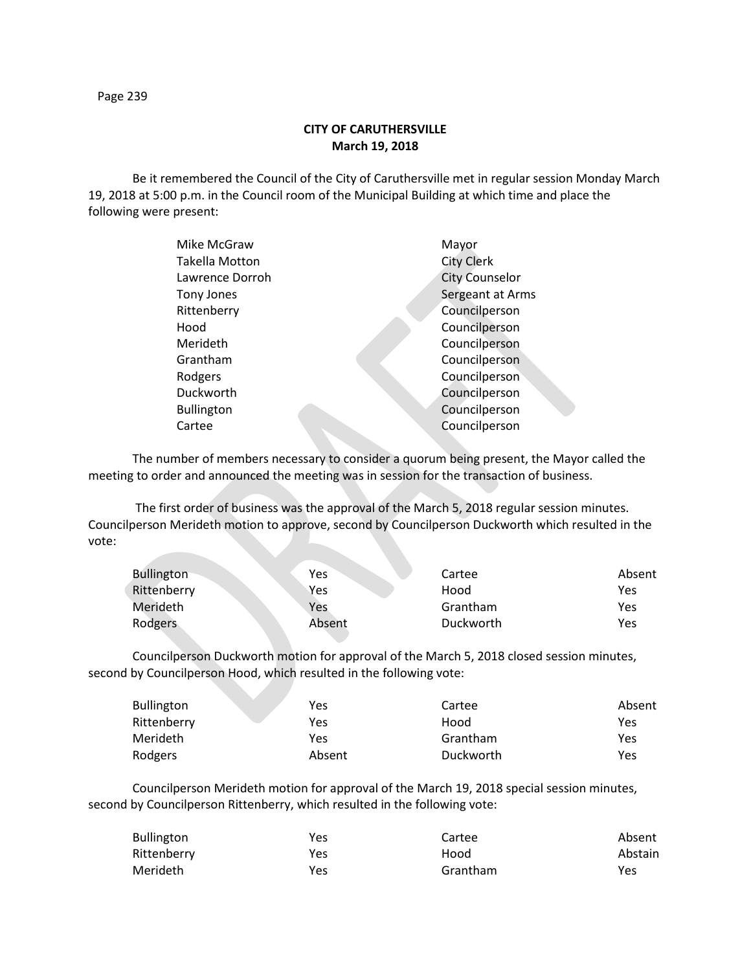Page 239

## **CITY OF CARUTHERSVILLE March 19, 2018**

Be it remembered the Council of the City of Caruthersville met in regular session Monday March 19, 2018 at 5:00 p.m. in the Council room of the Municipal Building at which time and place the following were present:

| Mike McGraw       | Mayor                 |
|-------------------|-----------------------|
| Takella Motton    | <b>City Clerk</b>     |
| Lawrence Dorroh   | <b>City Counselor</b> |
| Tony Jones        | Sergeant at Arms      |
| Rittenberry       | Councilperson         |
| Hood              | Councilperson         |
| Merideth          | Councilperson         |
| Grantham          | Councilperson         |
| Rodgers           | Councilperson         |
| Duckworth         | Councilperson         |
| <b>Bullington</b> | Councilperson         |
| Cartee            | Councilperson         |
|                   |                       |

The number of members necessary to consider a quorum being present, the Mayor called the meeting to order and announced the meeting was in session for the transaction of business.

The first order of business was the approval of the March 5, 2018 regular session minutes. Councilperson Merideth motion to approve, second by Councilperson Duckworth which resulted in the vote:

| <b>Bullington</b> | Yes        | Cartee    | Absent |
|-------------------|------------|-----------|--------|
| Rittenberry       | Yes        | Hood      | Yes    |
| Merideth          | <b>Yes</b> | Grantham  | Yes    |
| Rodgers           | Absent     | Duckworth | Yes    |

Councilperson Duckworth motion for approval of the March 5, 2018 closed session minutes, second by Councilperson Hood, which resulted in the following vote:

| Bullington  | Yes    | Cartee    | Absent |
|-------------|--------|-----------|--------|
| Rittenberry | Yes    | Hood      | Yes    |
| Merideth    | Yes    | Grantham  | Yes    |
| Rodgers     | Absent | Duckworth | Yes    |

Councilperson Merideth motion for approval of the March 19, 2018 special session minutes, second by Councilperson Rittenberry, which resulted in the following vote:

| <b>Bullington</b> | Yes | Cartee   | Absent  |
|-------------------|-----|----------|---------|
| Rittenberry       | Yes | Hood     | Abstain |
| Merideth          | Yes | Grantham | Yes     |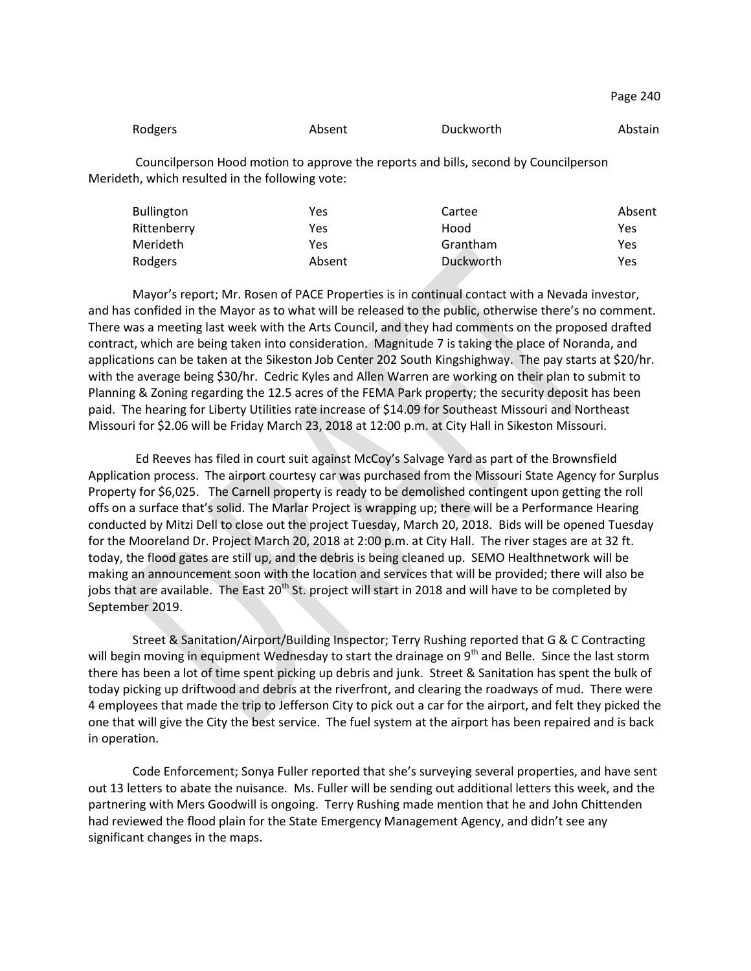| Rodgers | Absent | Duckworth | Abstain |
|---------|--------|-----------|---------|
|         |        |           |         |

Councilperson Hood motion to approve the reports and bills, second by Councilperson Merideth, which resulted in the following vote:

| <b>Bullington</b> | Yes    | Cartee    | Absent |
|-------------------|--------|-----------|--------|
| Rittenberry       | Yes    | Hood      | Yes    |
| Merideth          | Yes    | Grantham  | Yes    |
| Rodgers           | Absent | Duckworth | Yes    |

Mayor's report; Mr. Rosen of PACE Properties is in continual contact with a Nevada investor, and has confided in the Mayor as to what will be released to the public, otherwise there's no comment. There was a meeting last week with the Arts Council, and they had comments on the proposed drafted contract, which are being taken into consideration. Magnitude 7 is taking the place of Noranda, and applications can be taken at the Sikeston Job Center 202 South Kingshighway. The pay starts at \$20/hr. with the average being \$30/hr. Cedric Kyles and Allen Warren are working on their plan to submit to Planning & Zoning regarding the 12.5 acres of the FEMA Park property; the security deposit has been paid. The hearing for Liberty Utilities rate increase of \$14.09 for Southeast Missouri and Northeast Missouri for \$2.06 will be Friday March 23, 2018 at 12:00 p.m. at City Hall in Sikeston Missouri.

Ed Reeves has filed in court suit against McCoy's Salvage Yard as part of the Brownsfield Application process. The airport courtesy car was purchased from the Missouri State Agency for Surplus Property for \$6,025. The Carnell property is ready to be demolished contingent upon getting the roll offs on a surface that's solid. The Marlar Project is wrapping up; there will be a Performance Hearing conducted by Mitzi Dell to close out the project Tuesday, March 20, 2018. Bids will be opened Tuesday for the Mooreland Dr. Project March 20, 2018 at 2:00 p.m. at City Hall. The river stages are at 32 ft. today, the flood gates are still up, and the debris is being cleaned up. SEMO Healthnetwork will be making an announcement soon with the location and services that will be provided; there will also be jobs that are available. The East 20<sup>th</sup> St. project will start in 2018 and will have to be completed by September 2019.

Street & Sanitation/Airport/Building Inspector; Terry Rushing reported that G & C Contracting will begin moving in equipment Wednesday to start the drainage on 9<sup>th</sup> and Belle. Since the last storm there has been a lot of time spent picking up debris and junk. Street & Sanitation has spent the bulk of today picking up driftwood and debris at the riverfront, and clearing the roadways of mud. There were 4 employees that made the trip to Jefferson City to pick out a car for the airport, and felt they picked the one that will give the City the best service. The fuel system at the airport has been repaired and is back in operation.

Code Enforcement; Sonya Fuller reported that she's surveying several properties, and have sent out 13 letters to abate the nuisance. Ms. Fuller will be sending out additional letters this week, and the partnering with Mers Goodwill is ongoing. Terry Rushing made mention that he and John Chittenden had reviewed the flood plain for the State Emergency Management Agency, and didn't see any significant changes in the maps.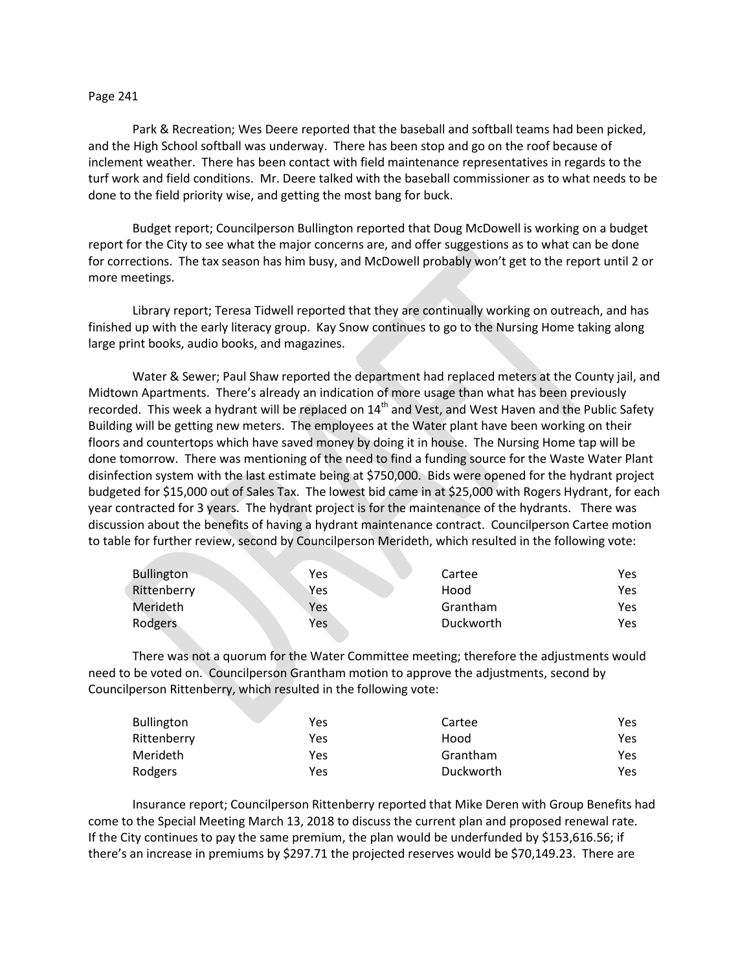## Page 241

Park & Recreation; Wes Deere reported that the baseball and softball teams had been picked, and the High School softball was underway. There has been stop and go on the roof because of inclement weather. There has been contact with field maintenance representatives in regards to the turf work and field conditions. Mr. Deere talked with the baseball commissioner as to what needs to be done to the field priority wise, and getting the most bang for buck.

Budget report; Councilperson Bullington reported that Doug McDowell is working on a budget report for the City to see what the major concerns are, and offer suggestions as to what can be done for corrections. The tax season has him busy, and McDowell probably won't get to the report until 2 or more meetings.

Library report; Teresa Tidwell reported that they are continually working on outreach, and has finished up with the early literacy group. Kay Snow continues to go to the Nursing Home taking along large print books, audio books, and magazines.

Water & Sewer; Paul Shaw reported the department had replaced meters at the County jail, and Midtown Apartments. There's already an indication of more usage than what has been previously recorded. This week a hydrant will be replaced on 14<sup>th</sup> and Vest, and West Haven and the Public Safety Building will be getting new meters. The employees at the Water plant have been working on their floors and countertops which have saved money by doing it in house. The Nursing Home tap will be done tomorrow. There was mentioning of the need to find a funding source for the Waste Water Plant disinfection system with the last estimate being at \$750,000. Bids were opened for the hydrant project budgeted for \$15,000 out of Sales Tax. The lowest bid came in at \$25,000 with Rogers Hydrant, for each year contracted for 3 years. The hydrant project is for the maintenance of the hydrants. There was discussion about the benefits of having a hydrant maintenance contract. Councilperson Cartee motion to table for further review, second by Councilperson Merideth, which resulted in the following vote:

| <b>Bullington</b> | Yes | Cartee    | Yes |
|-------------------|-----|-----------|-----|
| Rittenberry       | Yes | Hood      | Yes |
| Merideth          | Yes | Grantham  | Yes |
| Rodgers           | Yes | Duckworth | Yes |

There was not a quorum for the Water Committee meeting; therefore the adjustments would need to be voted on. Councilperson Grantham motion to approve the adjustments, second by Councilperson Rittenberry, which resulted in the following vote:

| <b>Bullington</b> | Yes | Cartee    | Yes |
|-------------------|-----|-----------|-----|
| Rittenberry       | Yes | Hood      | Yes |
| Merideth          | Yes | Grantham  | Yes |
| Rodgers           | Yes | Duckworth | Yes |

Insurance report; Councilperson Rittenberry reported that Mike Deren with Group Benefits had come to the Special Meeting March 13, 2018 to discuss the current plan and proposed renewal rate. If the City continues to pay the same premium, the plan would be underfunded by \$153,616.56; if there's an increase in premiums by \$297.71 the projected reserves would be \$70,149.23. There are